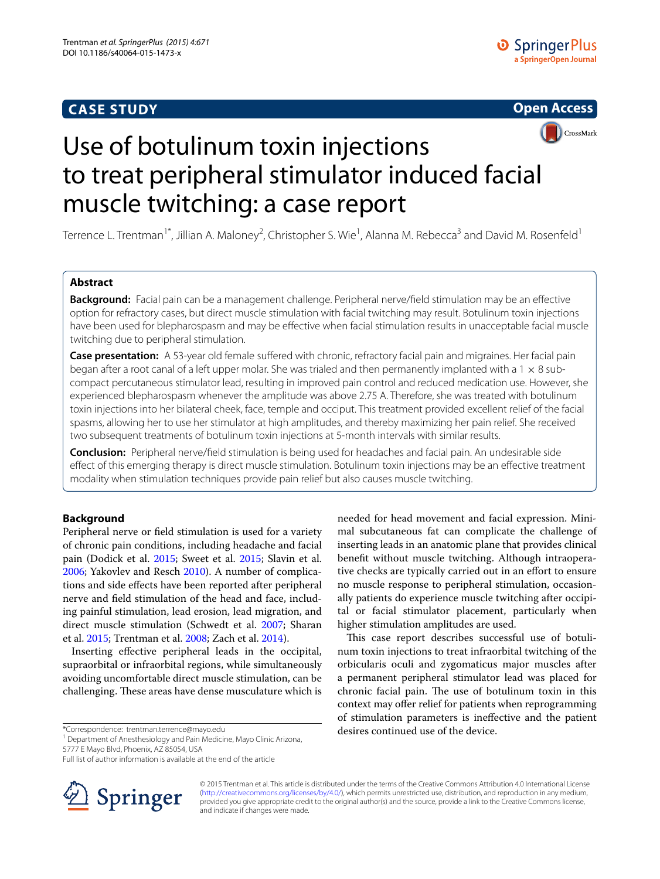# **CASE STUDY**



CrossMark



Terrence L. Trentman<sup>1\*</sup>, Jillian A. Maloney<sup>2</sup>, Christopher S. Wie<sup>1</sup>, Alanna M. Rebecca<sup>3</sup> and David M. Rosenfeld<sup>1</sup>

# **Abstract**

**Background:** Facial pain can be a management challenge. Peripheral nerve/field stimulation may be an effective option for refractory cases, but direct muscle stimulation with facial twitching may result. Botulinum toxin injections have been used for blepharospasm and may be effective when facial stimulation results in unacceptable facial muscle twitching due to peripheral stimulation.

**Case presentation:** A 53-year old female suffered with chronic, refractory facial pain and migraines. Her facial pain began after a root canal of a left upper molar. She was trialed and then permanently implanted with a 1  $\times$  8 subcompact percutaneous stimulator lead, resulting in improved pain control and reduced medication use. However, she experienced blepharospasm whenever the amplitude was above 2.75 A. Therefore, she was treated with botulinum toxin injections into her bilateral cheek, face, temple and occiput. This treatment provided excellent relief of the facial spasms, allowing her to use her stimulator at high amplitudes, and thereby maximizing her pain relief. She received two subsequent treatments of botulinum toxin injections at 5-month intervals with similar results.

**Conclusion:** Peripheral nerve/field stimulation is being used for headaches and facial pain. An undesirable side effect of this emerging therapy is direct muscle stimulation. Botulinum toxin injections may be an effective treatment modality when stimulation techniques provide pain relief but also causes muscle twitching.

# **Background**

Peripheral nerve or field stimulation is used for a variety of chronic pain conditions, including headache and facial pain (Dodick et al. [2015](#page-2-0); Sweet et al. [2015;](#page-3-0) Slavin et al. [2006](#page-3-1); Yakovlev and Resch [2010](#page-3-2)). A number of complications and side effects have been reported after peripheral nerve and field stimulation of the head and face, including painful stimulation, lead erosion, lead migration, and direct muscle stimulation (Schwedt et al. [2007;](#page-3-3) Sharan et al. [2015;](#page-3-4) Trentman et al. [2008;](#page-3-5) Zach et al. [2014\)](#page-3-6).

Inserting effective peripheral leads in the occipital, supraorbital or infraorbital regions, while simultaneously avoiding uncomfortable direct muscle stimulation, can be challenging. These areas have dense musculature which is

\*Correspondence: trentman.terrence@mayo.edu

<sup>1</sup> Department of Anesthesiology and Pain Medicine, Mayo Clinic Arizona, 5777 E Mayo Blvd, Phoenix, AZ 85054, USA

Full list of author information is available at the end of the article



needed for head movement and facial expression. Minimal subcutaneous fat can complicate the challenge of inserting leads in an anatomic plane that provides clinical benefit without muscle twitching. Although intraoperative checks are typically carried out in an effort to ensure no muscle response to peripheral stimulation, occasionally patients do experience muscle twitching after occipital or facial stimulator placement, particularly when higher stimulation amplitudes are used.

This case report describes successful use of botulinum toxin injections to treat infraorbital twitching of the orbicularis oculi and zygomaticus major muscles after a permanent peripheral stimulator lead was placed for chronic facial pain. The use of botulinum toxin in this context may offer relief for patients when reprogramming of stimulation parameters is ineffective and the patient desires continued use of the device.

© 2015 Trentman et al. This article is distributed under the terms of the Creative Commons Attribution 4.0 International License [\(http://creativecommons.org/licenses/by/4.0/\)](http://creativecommons.org/licenses/by/4.0/), which permits unrestricted use, distribution, and reproduction in any medium, provided you give appropriate credit to the original author(s) and the source, provide a link to the Creative Commons license, and indicate if changes were made.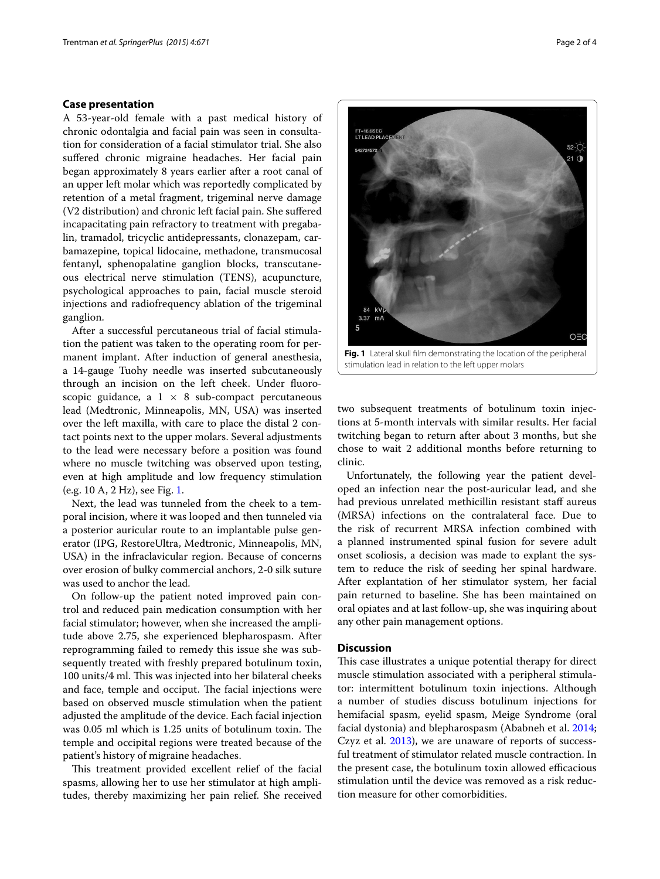### **Case presentation**

A 53-year-old female with a past medical history of chronic odontalgia and facial pain was seen in consultation for consideration of a facial stimulator trial. She also suffered chronic migraine headaches. Her facial pain began approximately 8 years earlier after a root canal of an upper left molar which was reportedly complicated by retention of a metal fragment, trigeminal nerve damage (V2 distribution) and chronic left facial pain. She suffered incapacitating pain refractory to treatment with pregabalin, tramadol, tricyclic antidepressants, clonazepam, carbamazepine, topical lidocaine, methadone, transmucosal fentanyl, sphenopalatine ganglion blocks, transcutaneous electrical nerve stimulation (TENS), acupuncture, psychological approaches to pain, facial muscle steroid injections and radiofrequency ablation of the trigeminal ganglion.

After a successful percutaneous trial of facial stimulation the patient was taken to the operating room for permanent implant. After induction of general anesthesia, a 14-gauge Tuohy needle was inserted subcutaneously through an incision on the left cheek. Under fluoroscopic guidance, a  $1 \times 8$  sub-compact percutaneous lead (Medtronic, Minneapolis, MN, USA) was inserted over the left maxilla, with care to place the distal 2 contact points next to the upper molars. Several adjustments to the lead were necessary before a position was found where no muscle twitching was observed upon testing, even at high amplitude and low frequency stimulation (e.g. 10 A, 2 Hz), see Fig. [1](#page-1-0).

Next, the lead was tunneled from the cheek to a temporal incision, where it was looped and then tunneled via a posterior auricular route to an implantable pulse generator (IPG, RestoreUltra, Medtronic, Minneapolis, MN, USA) in the infraclavicular region. Because of concerns over erosion of bulky commercial anchors, 2-0 silk suture was used to anchor the lead.

On follow-up the patient noted improved pain control and reduced pain medication consumption with her facial stimulator; however, when she increased the amplitude above 2.75, she experienced blepharospasm. After reprogramming failed to remedy this issue she was subsequently treated with freshly prepared botulinum toxin, 100 units/4 ml. This was injected into her bilateral cheeks and face, temple and occiput. The facial injections were based on observed muscle stimulation when the patient adjusted the amplitude of the device. Each facial injection was 0.05 ml which is 1.25 units of botulinum toxin. The temple and occipital regions were treated because of the patient's history of migraine headaches.

This treatment provided excellent relief of the facial spasms, allowing her to use her stimulator at high amplitudes, thereby maximizing her pain relief. She received



<span id="page-1-0"></span>**Fig. 1** Lateral skull film demonstrating the location of the peripheral stimulation lead in relation to the left upper molars

two subsequent treatments of botulinum toxin injections at 5-month intervals with similar results. Her facial twitching began to return after about 3 months, but she chose to wait 2 additional months before returning to clinic.

Unfortunately, the following year the patient developed an infection near the post-auricular lead, and she had previous unrelated methicillin resistant staff aureus (MRSA) infections on the contralateral face. Due to the risk of recurrent MRSA infection combined with a planned instrumented spinal fusion for severe adult onset scoliosis, a decision was made to explant the system to reduce the risk of seeding her spinal hardware. After explantation of her stimulator system, her facial pain returned to baseline. She has been maintained on oral opiates and at last follow-up, she was inquiring about any other pain management options.

### **Discussion**

This case illustrates a unique potential therapy for direct muscle stimulation associated with a peripheral stimulator: intermittent botulinum toxin injections. Although a number of studies discuss botulinum injections for hemifacial spasm, eyelid spasm, Meige Syndrome (oral facial dystonia) and blepharospasm (Ababneh et al. [2014](#page-2-1); Czyz et al. [2013\)](#page-2-2), we are unaware of reports of successful treatment of stimulator related muscle contraction. In the present case, the botulinum toxin allowed efficacious stimulation until the device was removed as a risk reduction measure for other comorbidities.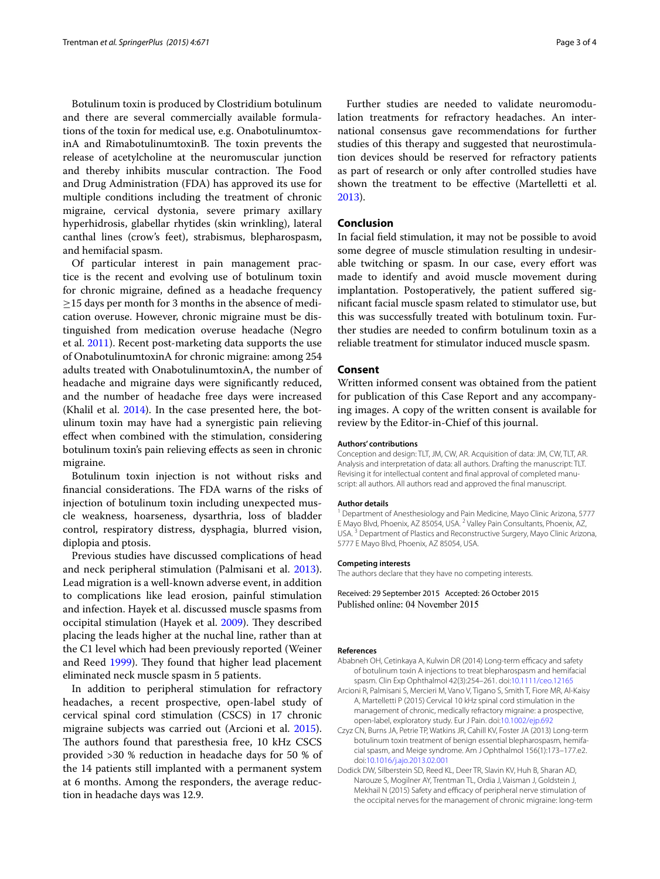Botulinum toxin is produced by Clostridium botulinum and there are several commercially available formulations of the toxin for medical use, e.g. OnabotulinumtoxinA and RimabotulinumtoxinB. The toxin prevents the release of acetylcholine at the neuromuscular junction and thereby inhibits muscular contraction. The Food and Drug Administration (FDA) has approved its use for multiple conditions including the treatment of chronic migraine, cervical dystonia, severe primary axillary hyperhidrosis, glabellar rhytides (skin wrinkling), lateral canthal lines (crow's feet), strabismus, blepharospasm, and hemifacial spasm.

Of particular interest in pain management practice is the recent and evolving use of botulinum toxin for chronic migraine, defined as a headache frequency  $\geq$ 15 days per month for 3 months in the absence of medication overuse. However, chronic migraine must be distinguished from medication overuse headache (Negro et al. [2011\)](#page-3-7). Recent post-marketing data supports the use of OnabotulinumtoxinA for chronic migraine: among 254 adults treated with OnabotulinumtoxinA, the number of headache and migraine days were significantly reduced, and the number of headache free days were increased (Khalil et al.  $2014$ ). In the case presented here, the botulinum toxin may have had a synergistic pain relieving effect when combined with the stimulation, considering botulinum toxin's pain relieving effects as seen in chronic migraine.

Botulinum toxin injection is not without risks and financial considerations. The FDA warns of the risks of injection of botulinum toxin including unexpected muscle weakness, hoarseness, dysarthria, loss of bladder control, respiratory distress, dysphagia, blurred vision, diplopia and ptosis.

Previous studies have discussed complications of head and neck peripheral stimulation (Palmisani et al. [2013](#page-3-9)). Lead migration is a well-known adverse event, in addition to complications like lead erosion, painful stimulation and infection. Hayek et al. discussed muscle spasms from occipital stimulation (Hayek et al. [2009](#page-3-10)). They described placing the leads higher at the nuchal line, rather than at the C1 level which had been previously reported (Weiner and Reed [1999\)](#page-3-11). They found that higher lead placement eliminated neck muscle spasm in 5 patients.

In addition to peripheral stimulation for refractory headaches, a recent prospective, open-label study of cervical spinal cord stimulation (CSCS) in 17 chronic migraine subjects was carried out (Arcioni et al. [2015](#page-2-3)). The authors found that paresthesia free, 10 kHz CSCS provided >30 % reduction in headache days for 50 % of the 14 patients still implanted with a permanent system at 6 months. Among the responders, the average reduction in headache days was 12.9.

Further studies are needed to validate neuromodulation treatments for refractory headaches. An international consensus gave recommendations for further studies of this therapy and suggested that neurostimulation devices should be reserved for refractory patients as part of research or only after controlled studies have shown the treatment to be effective (Martelletti et al. [2013](#page-3-12)).

# **Conclusion**

In facial field stimulation, it may not be possible to avoid some degree of muscle stimulation resulting in undesirable twitching or spasm. In our case, every effort was made to identify and avoid muscle movement during implantation. Postoperatively, the patient suffered significant facial muscle spasm related to stimulator use, but this was successfully treated with botulinum toxin. Further studies are needed to confirm botulinum toxin as a reliable treatment for stimulator induced muscle spasm.

### **Consent**

Written informed consent was obtained from the patient for publication of this Case Report and any accompanying images. A copy of the written consent is available for review by the Editor-in-Chief of this journal.

#### **Authors' contributions**

Conception and design: TLT, JM, CW, AR. Acquisition of data: JM, CW, TLT, AR. Analysis and interpretation of data: all authors. Drafting the manuscript: TLT. Revising it for intellectual content and final approval of completed manuscript: all authors. All authors read and approved the final manuscript.

### **Author details**

<sup>1</sup> Department of Anesthesiology and Pain Medicine, Mayo Clinic Arizona, 5777 E Mayo Blvd, Phoenix, AZ 85054, USA. <sup>2</sup> Valley Pain Consultants, Phoenix, AZ, USA. 3 Department of Plastics and Reconstructive Surgery, Mayo Clinic Arizona, 5777 E Mayo Blvd, Phoenix, AZ 85054, USA.

### **Competing interests**

The authors declare that they have no competing interests.

Received: 29 September 2015 Accepted: 26 October 2015 Published online: 04 November 2015

### **References**

- <span id="page-2-1"></span>Ababneh OH, Cetinkaya A, Kulwin DR (2014) Long-term efficacy and safety of botulinum toxin A injections to treat blepharospasm and hemifacial spasm. Clin Exp Ophthalmol 42(3):254–261. doi[:10.1111/ceo.12165](http://dx.doi.org/10.1111/ceo.12165)
- <span id="page-2-3"></span>Arcioni R, Palmisani S, Mercieri M, Vano V, Tigano S, Smith T, Fiore MR, Al-Kaisy A, Martelletti P (2015) Cervical 10 kHz spinal cord stimulation in the management of chronic, medically refractory migraine: a prospective, open-label, exploratory study. Eur J Pain. doi:[10.1002/ejp.692](http://dx.doi.org/10.1002/ejp.692)
- <span id="page-2-2"></span>Czyz CN, Burns JA, Petrie TP, Watkins JR, Cahill KV, Foster JA (2013) Long-term botulinum toxin treatment of benign essential blepharospasm, hemifacial spasm, and Meige syndrome. Am J Ophthalmol 156(1):173–177.e2. doi:[10.1016/j.ajo.2013.02.001](http://dx.doi.org/10.1016/j.ajo.2013.02.001)
- <span id="page-2-0"></span>Dodick DW, Silberstein SD, Reed KL, Deer TR, Slavin KV, Huh B, Sharan AD, Narouze S, Mogilner AY, Trentman TL, Ordia J, Vaisman J, Goldstein J, Mekhail N (2015) Safety and efficacy of peripheral nerve stimulation of the occipital nerves for the management of chronic migraine: long-term